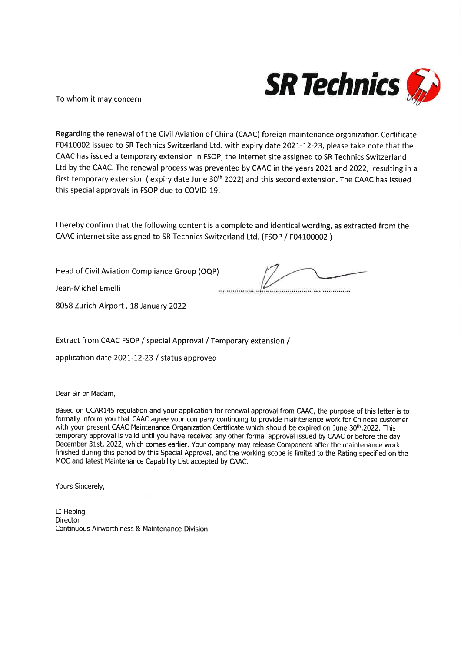

Regarding the renewal of the Civil Aviation of China (CAAC) foreign maintenance organization Certificate F0410002 issued to SR Technics Switzerland Ltd. with expiry date 2021-12-23, please take note that the CAAC has issued a temporary extension in FSOP, the internet site assigned to SR Technics Switzerland Ltd by the CAAC. The renewal process was prevented by CAAC in the years 2021 and 2022, resulting in a first temporary extension (expiry date June 30<sup>th</sup> 2022) and this second extension. The CAAC has issued this special approvals in FSOP due to COVID-19.

I hereby confirm that the following content is a complete and identical wording, as extracted from the CAAC internet site assigned to SR Technics Switzerland Ltd. (FSOP / F04100002)

Head of Civil Aviation Compliance Group (OQP)

Jean-Michel Emelli

8058 Zurich-Airport ,18 January 2022

Extract from CAAC FSOP / special Approval / Temporary extension /

application date 2021-12-23 / status approved

Dear Sir or Madam,

Based on CCAR145 regulation and your application for renewal approval from CAAC, the purpose of this letter is to formally inform you that CAAC agree your company continuing to provide maintenance work for Chinese customer with your present CAAC Maintenance Organization Certificate which should be expired on June 30<sup>th</sup>,2022. This temporary approval is valid until you have received any other formal approval issued by CAAC or before the day December 31st, 2022, which comes earlier. Your company may release Component after the maintenance work finished during this period by this Special Approval, and the working scope is limited to the Rating specified on the MOC and latest Maintenance Capability List accepted by CAAC.

Yours Sincerely,

LI Heping Director Continuous Airwofthiness & Maintenance Division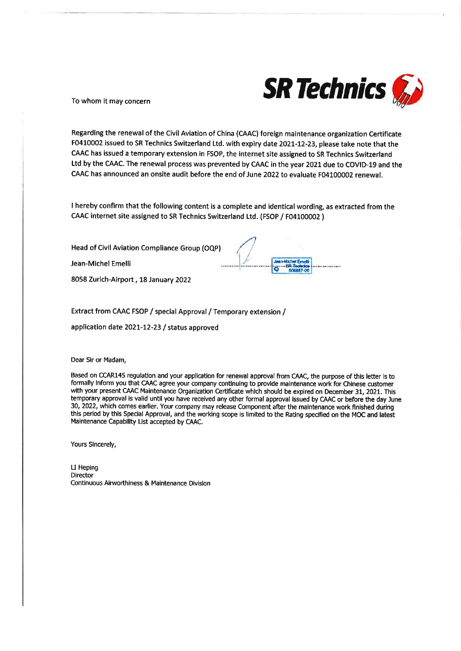

To whom it may concern

Regarding the renewal of the Civil Aviation of China (CAAC) foreign maintenance organization Certificate F0410002 issued to SR Technics Switzerland Ltd. with expiry date 2OZL-L2-23, please take note that the CAAC has issued a temporary extension in FSOP, the internet site assigned to SR Technics Switzerland Ltd by the CAAC. The renewal process was prevented by CAAC in the year 2021 due to COVID-l9 and the CAAC has announced an onsite audit before the end of June 2022 to evaluate F04100002 renewal.

I hereby confirm that the following content is a complete and identical wording, as extracted from the CAAC internet site assigned to SR Technics Switzerland Ltd. (FSOP / F04100002)

 $\sqrt{2}$ 

Enad $...89.7$ 

. . . . . . . . . . . .

...........<mark>...........</mark>.

Head of Civil Aviation Compliance Group (OQp)

Jean-Michel Emelli

8058 Zurich-Airport , L8 January 2022

Extract from CAAC FSOP / special Approval/ Temporary extension /

application date 2021-12-23 / status approved

Dear Sir or Madam,

Based on CCAR145 regulation and your application for renewal approval from CAAC, the purpose of this letter ls to formally inform you that CAAC agree your company continuing to provide maintenance work for Chinese customer with your present CAAC Maintenance Organization Certlficate whlch should be expired on December 31, 2021. This temporary approval is valid until you have received any other formal approval issued by CAAC or before the day June 30, 2022, which comes earlier. Your company may release Component after the maintenance work finished during this period by this Special Approval, and the working scope is limited to the Rating specified on the MOC and latest Malntenance Capablllty Ust accepted by CAAC.

Yours Sincerely,

LI Heping **Director** Continuous Airworthiness & Maintenance Division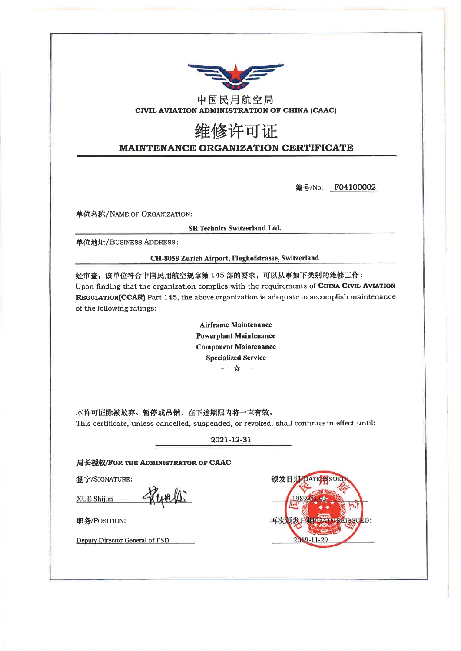

# 维修许可证 MAINTENANCE ORGANIZATION CERTIFICATE

编号/No. F04100002

单位名称/NAME OF ORGANIZATION:

**SR Technics Switzerland Ltd.** 

单位地址/BUSINESS ADDRESS:

CH-8058 Zurich Airport, Flughofstrasse, Switzerland

经审查,该单位符合中国民用航空规章第145部的要求,可以从事如下类别的维修工作: Upon finding that the organization complies with the requirements of CHINA CIVIL AVIATION REGULATION(CCAR) Part 145, the above organization is adequate to accomplish maintenance of the following ratings:

> **Airframe Maintenance Powerplant Maintenance Component Maintenance Specialized Service** - ☆ -

本许可证除被放弃、暂停或吊销,在下述期限内将一直有效。 This certificate, unless cancelled, suspended, or revoked, shall continue in effect until:

2021-12-31

### 局长授权/FOR THE ADMINISTRATOR OF CAAC

签字/SIGNATURE:

Ryeps **XUE Shijun** 

职务/POSITION:

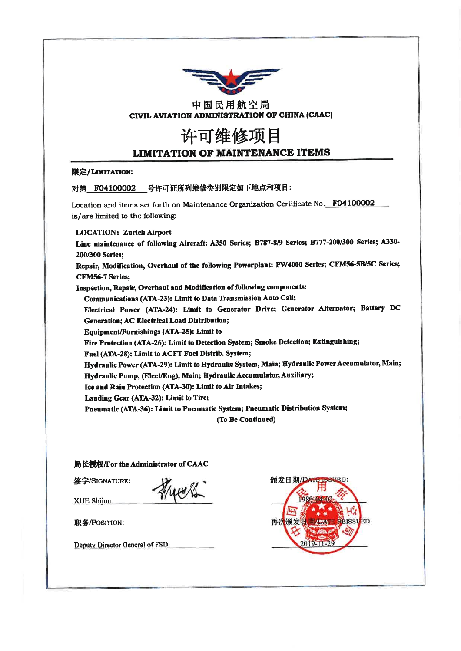

# 许可维修项目 LIMITATION OF MAINTENANCE ITEMS

#### 限定/LIMITATION:

对第 FO4100002 号许可证所列维修类别限定如下地点和项目:

Location and items set forth on Maintenance Organization Certificate No. FO4100OO2 is/are limited to the following:

#### LOCATION: ZurichAirport

Line maintenance of following Aircraft: A350 Series; B787-8/9 Series; B777-200/300 Series; A330-200/300 Series;

Repair, Modification, Overhaul of the following Powerplant: PW4000 Series; CFM56-5B/5C Series; CFM56-7 Series;

Inspection, Repeir, Overhaul and Modification of following components:

Communications (ATA-23): Limit to Data Transmission Auto Call;

Eleetrical Power (ATA-2a): Limit to Generator Drive; Generator Nternator; Battery DC Generation; AC Electrical Load Distribution;

Equipment/Furnishings (ATA-25): Limit to

Fire Protection (AIA-26): Limit to Detection System; Smoke Detection; Ertinguishing;

Fuel (ATA-28): Limit to ACFT Fuel Distrib. System;

Hydraulic Power (ATA-29): Limit to Hydraulic System, Main; Hydraulic Power Accumulator, Main; Hydraulic Pump, (Elect/Eng), Main; Hydraulic Accumulator, Auxiliary;

Ice and Rain Protection (ATA-30): Limit to Alr Intakes;

Landing Gear (ATA-32): Limit to Tire;

Pneumatic (ATA-36): Limit to Pneumatic System; Pneumatic Distribution System;

(To Be Continued)

### 局长授权/For the Administrator of CAAC

签字/SIGNATURE: AMLES

**XUE Shijun** 

**职务/POSITION:** 

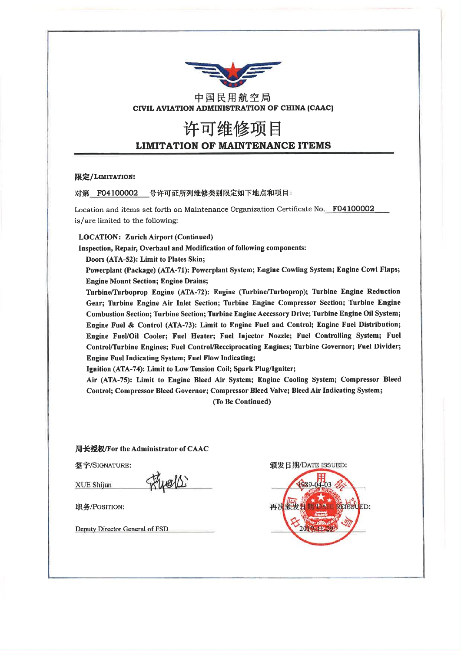

# 许可维修项目 **LIMITATION OF MAINTENANCE ITEMS**

#### 限定/LIMITATION:

对第 F04100002 号许可证所列维修类别限定如下地点和项目;

Location and items set forth on Maintenance Organization Certificate No. F04100002 is/are limited to the following:

**LOCATION: Zurich Airport (Continued)** 

Inspection, Repair, Overhaul and Modification of following components:

Doors (ATA-52): Limit to Plates Skin;

Powerplant (Package) (ATA-71): Powerplant System; Engine Cowling System; Engine Cowl Flaps; **Engine Mount Section; Engine Drains;** 

Turbine/Turboprop Engine (ATA-72): Engine (Turbine/Turboprop); Turbine Engine Reduction Gear; Turbine Engine Air Inlet Section; Turbine Engine Compressor Section; Turbine Engine Combustion Section; Turbine Section; Turbine Engine Accessory Drive; Turbine Engine Oil System; Engine Fuel & Control (ATA-73): Limit to Engine Fuel and Control; Engine Fuel Distribution; Engine Fuel/Oil Cooler; Fuel Heater; Fuel Injector Nozzle; Fuel Controlling System; Fuel Control/Turbine Engines; Fuel Control/Receiprocating Engines; Turbine Governor; Fuel Divider; Engine Fuel Indicating System; Fuel Flow Indicating;

Ignition (ATA-74): Limit to Low Tension Coil; Spark Plug/Igniter;

Air (ATA-75): Limit to Engine Bleed Air System; Engine Cooling System; Compressor Bleed Control; Compressor Bleed Governor; Compressor Bleed Valve; Bleed Air Indicating System;

(To Be Continued)

局长授权/For the Administrator of CAAC

签字/SIGNATURE:

Frett **XUE Shijun** 

职务/POSITION:

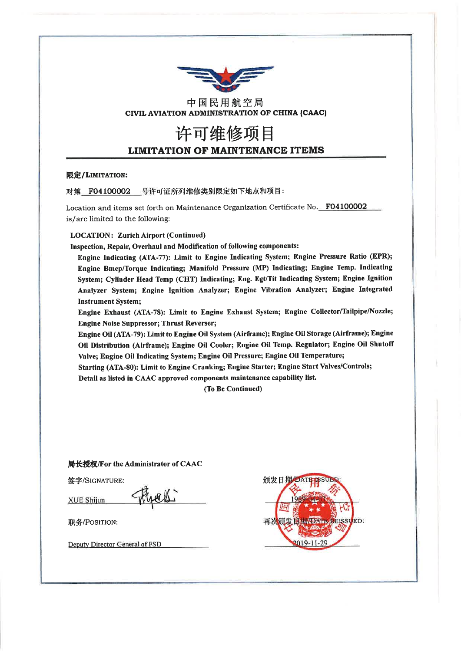

# 许可维修项目 LIMITATION OF MAINTENANCE ITEMS

#### 限定/LIMITATION:

对第\_F04100002 号许可证所列维修类别限定如下地点和项目:

Location and items set forth on Maintenance Organization Certificate No. F04100002 is/are limited to the following:

### LOCATION: Zurich Airport (Continued)

Inspection, Repair, Overhaul and Modification of following components:

Engine Indicating (ATA-77): Limit to Engine Indicating System; Engine Pressure Ratio (EPR); Engine Bmep/Torque Indicating; Manifold Pressure (MP) Indicating; Engine Temp. Indicating System; Cylinder Head Temp (CHT) Indicating; Eng. Egt/Tit Indicating System; Engine Ignition Analyzer System; Engine lgnition Analyzer; Engine Vibration Analyzer; Engine Integrated Instrument System;

Engine Exhaust (ATA-78): Limit to Engine Exhaust System; Engine Collector/Tailpipe/Nozzle; Engine Noise Suppressor; Thrust Reverser;

Engine Oil (ATA-79): Limitto Engine Oil System (Airframe); Engine Oil Storage (Airframe); Engine Oil Distribution (Airframe); Engine Oil Cooler; Engine Oil Temp. Regulator; Engine Oil Shutoff Valve; Engine Oil Indicating System; Engine Oil Pressure; Engine Oil Temperature;

Starting (ATA-80): Limit to Engine Cranking; Engine Starter; Engine Start Valves/Controls; Detail as listed in CAAC approved components maintenance capability list.

(To Be Continued)

局长授权/For the Administrator of CAAC

S?/SIcNerune: Mfr.E

**XUE Shijun** 

职务/PosiTION: